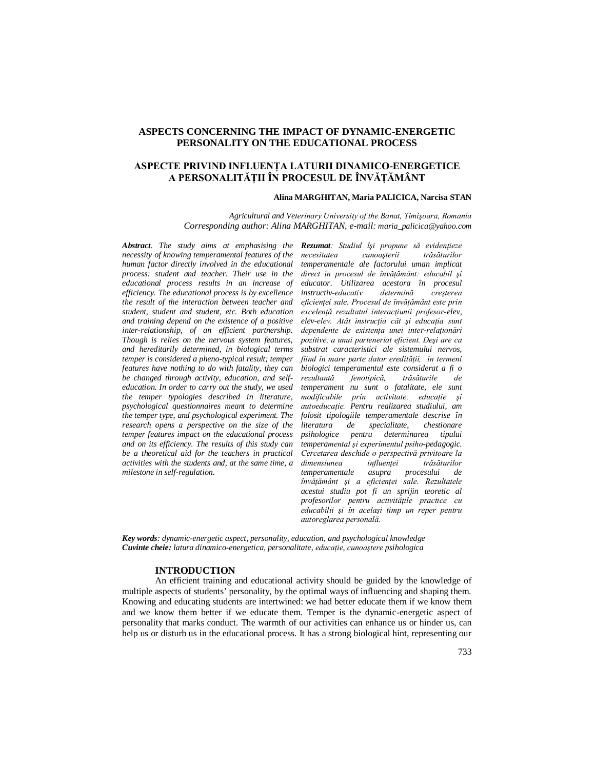# **ASPECTS CONCERNING THE IMPACT OF DYNAMIC-ENERGETIC PERSONALITY ON THE EDUCATIONAL PROCESS**

# **ASPECTE PRIVIND INFLUENŢA LATURII DINAMICO-ENERGETICE A PERSONALITĂŢII ÎN PROCESUL DE ÎNVĂŢĂMÂNT**

### **Alina MARGHITAN, Maria PALICICA, Narcisa STAN**

*Agricultural and Veterinary University of the Banat, Timişoara, Romania Corresponding author: Alina MARGHITAN, e-mail: maria\_palicica@yahoo.com*

*Abstract. The study aims at emphasising the necessity of knowing temperamental features of the human factor directly involved in the educational process: student and teacher. Their use in the educational process results in an increase of efficiency. The educational process is by excellence the result of the interaction between teacher and student, student and student, etc. Both education and training depend on the existence of a positive inter-relationship, of an efficient partnership. Though is relies on the nervous system features, and hereditarily determined, in biological terms temper is considered a pheno-typical result; temper features have nothing to do with fatality, they can be changed through activity, education, and selfeducation. In order to carry out the study, we used the temper typologies described in literature, psychological questionnaires meant to determine the temper type, and psychological experiment. The research opens a perspective on the size of the temper features impact on the educational process and on its efficiency. The results of this study can be a theoretical aid for the teachers in practical activities with the students and, at the same time, a milestone in self-regulation.* 

*Rezumat: Studiul îşi propune să evidenţieze necesitatea cunoaşterii trăsăturilor temperamentale ale factorului uman implicat direct în procesul de învăţământ: educabil şi educator. Utilizarea acestora în procesul*   $in$ *structiv-educativ eficienţei sale. Procesul de învăţământ este prin excelenţă rezultatul interacţiunii profesor-elev, elev-elev. Atât instrucţia cât şi educaţia sunt dependente de existenţa unei inter-relaţionări pozitive, a unui parteneriat eficient. Deşi are ca substrat caracteristici ale sistemului nervos, fiind în mare parte dator eredităţii, în termeni biologici temperamentul este considerat a fi o rezultantă fenotipică, trăsăturile de temperament nu sunt o fatalitate, ele sunt modificabile prin activitate, educaţie şi autoeducaţie. Pentru realizarea studiului, am folosit tipologiile temperamentale descrise în literatura de specialitate, chestionare psihologice pentru determinarea tipului temperamental şi experimentul psiho-pedagogic. Cercetarea deschide o perspectivă privitoare la dimensiunea influenţei trăsăturilor temperamentale asupra procesului de învăţământ şi a eficienţei sale. Rezultatele acestui studiu pot fi un sprijin teoretic al profesorilor pentru activităţile practice cu educabilii şi în acelaşi timp un reper pentru autoreglarea personală.*

*Key words: dynamic-energetic aspect, personality, education, and psychological knowledge Cuvinte cheie: latura dinamico-energetica, personalitate, educaţie, cunoaştere psihologica*

## **INTRODUCTION**

An efficient training and educational activity should be guided by the knowledge of multiple aspects of students' personality, by the optimal ways of influencing and shaping them. Knowing and educating students are intertwined: we had better educate them if we know them and we know them better if we educate them. Temper is the dynamic-energetic aspect of personality that marks conduct. The warmth of our activities can enhance us or hinder us, can help us or disturb us in the educational process. It has a strong biological hint, representing our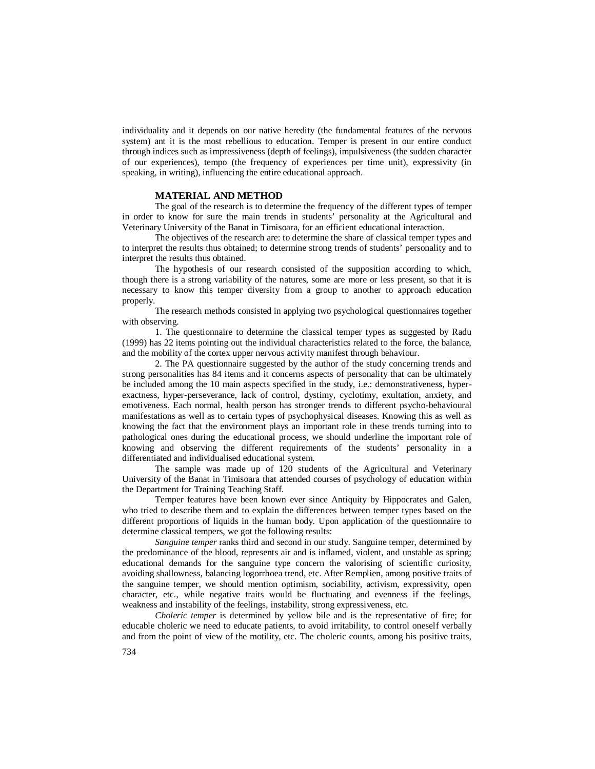individuality and it depends on our native heredity (the fundamental features of the nervous system) ant it is the most rebellious to education. Temper is present in our entire conduct through indices such as impressiveness (depth of feelings), impulsiveness (the sudden character of our experiences), tempo (the frequency of experiences per time unit), expressivity (in speaking, in writing), influencing the entire educational approach.

#### **MATERIAL AND METHOD**

The goal of the research is to determine the frequency of the different types of temper in order to know for sure the main trends in students' personality at the Agricultural and Veterinary University of the Banat in Timisoara, for an efficient educational interaction.

The objectives of the research are: to determine the share of classical temper types and to interpret the results thus obtained; to determine strong trends of students' personality and to interpret the results thus obtained.

The hypothesis of our research consisted of the supposition according to which, though there is a strong variability of the natures, some are more or less present, so that it is necessary to know this temper diversity from a group to another to approach education properly.

The research methods consisted in applying two psychological questionnaires together with observing.

1. The questionnaire to determine the classical temper types as suggested by Radu (1999) has 22 items pointing out the individual characteristics related to the force, the balance, and the mobility of the cortex upper nervous activity manifest through behaviour.

2. The PA questionnaire suggested by the author of the study concerning trends and strong personalities has 84 items and it concerns aspects of personality that can be ultimately be included among the 10 main aspects specified in the study, i.e.: demonstrativeness, hyperexactness, hyper-perseverance, lack of control, dystimy, cyclotimy, exultation, anxiety, and emotiveness. Each normal, health person has stronger trends to different psycho-behavioural manifestations as well as to certain types of psychophysical diseases. Knowing this as well as knowing the fact that the environment plays an important role in these trends turning into to pathological ones during the educational process, we should underline the important role of knowing and observing the different requirements of the students' personality in a differentiated and individualised educational system.

The sample was made up of 120 students of the Agricultural and Veterinary University of the Banat in Timisoara that attended courses of psychology of education within the Department for Training Teaching Staff.

Temper features have been known ever since Antiquity by Hippocrates and Galen, who tried to describe them and to explain the differences between temper types based on the different proportions of liquids in the human body. Upon application of the questionnaire to determine classical tempers, we got the following results:

*Sanguine temper* ranks third and second in our study. Sanguine temper, determined by the predominance of the blood, represents air and is inflamed, violent, and unstable as spring; educational demands for the sanguine type concern the valorising of scientific curiosity, avoiding shallowness, balancing logorrhoea trend, etc. After Remplien, among positive traits of the sanguine temper, we should mention optimism, sociability, activism, expressivity, open character, etc., while negative traits would be fluctuating and evenness if the feelings, weakness and instability of the feelings, instability, strong expressiveness, etc.

*Choleric temper* is determined by yellow bile and is the representative of fire; for educable choleric we need to educate patients, to avoid irritability, to control oneself verbally and from the point of view of the motility, etc. The choleric counts, among his positive traits,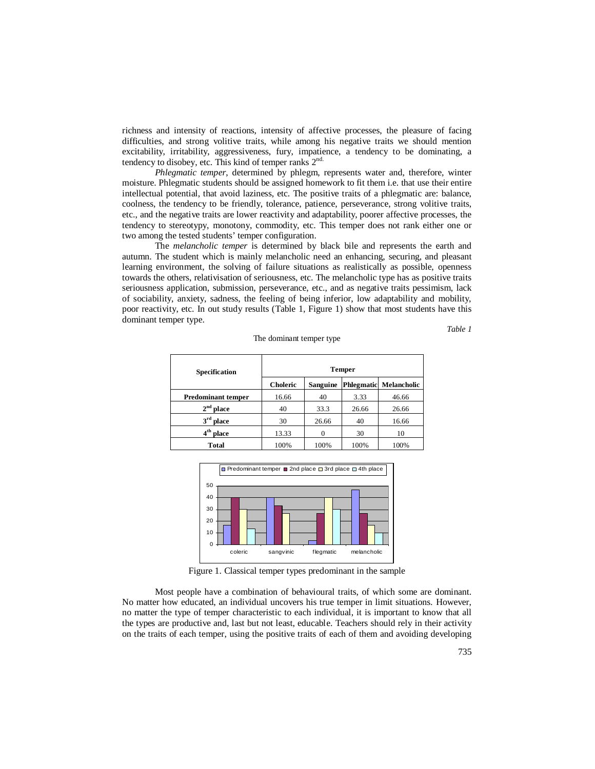richness and intensity of reactions, intensity of affective processes, the pleasure of facing difficulties, and strong volitive traits, while among his negative traits we should mention excitability, irritability, aggressiveness, fury, impatience, a tendency to be dominating, a tendency to disobey, etc. This kind of temper ranks  $2^{nd}$ .

*Phlegmatic temper*, determined by phlegm, represents water and, therefore, winter moisture. Phlegmatic students should be assigned homework to fit them i.e. that use their entire intellectual potential, that avoid laziness, etc. The positive traits of a phlegmatic are: balance, coolness, the tendency to be friendly, tolerance, patience, perseverance, strong volitive traits, etc., and the negative traits are lower reactivity and adaptability, poorer affective processes, the tendency to stereotypy, monotony, commodity, etc. This temper does not rank either one or two among the tested students' temper configuration.

The *melancholic temper* is determined by black bile and represents the earth and autumn. The student which is mainly melancholic need an enhancing, securing, and pleasant learning environment, the solving of failure situations as realistically as possible, openness towards the others, relativisation of seriousness, etc. The melancholic type has as positive traits seriousness application, submission, perseverance, etc., and as negative traits pessimism, lack of sociability, anxiety, sadness, the feeling of being inferior, low adaptability and mobility, poor reactivity, etc. In out study results (Table 1, Figure 1) show that most students have this dominant temper type.

*Table 1*

| Specification             | <b>Temper</b> |                 |                   |             |
|---------------------------|---------------|-----------------|-------------------|-------------|
|                           | Choleric      | <b>Sanguine</b> | <b>Phlegmatic</b> | Melancholic |
| <b>Predominant temper</b> | 16.66         | 40              | 3.33              | 46.66       |
| 2 <sup>nd</sup><br>place  | 40            | 33.3            | 26.66             | 26.66       |
| 3 <sup>rd</sup><br>place  | 30            | 26.66           | 40                | 16.66       |
| 4 <sup>th</sup> place     | 13.33         |                 | 30                | 10          |
| Total                     | 100%          | 100%            | 100%              | 100%        |

The dominant temper type



Figure 1. Classical temper types predominant in the sample

Most people have a combination of behavioural traits, of which some are dominant. No matter how educated, an individual uncovers his true temper in limit situations. However, no matter the type of temper characteristic to each individual, it is important to know that all the types are productive and, last but not least, educable. Teachers should rely in their activity on the traits of each temper, using the positive traits of each of them and avoiding developing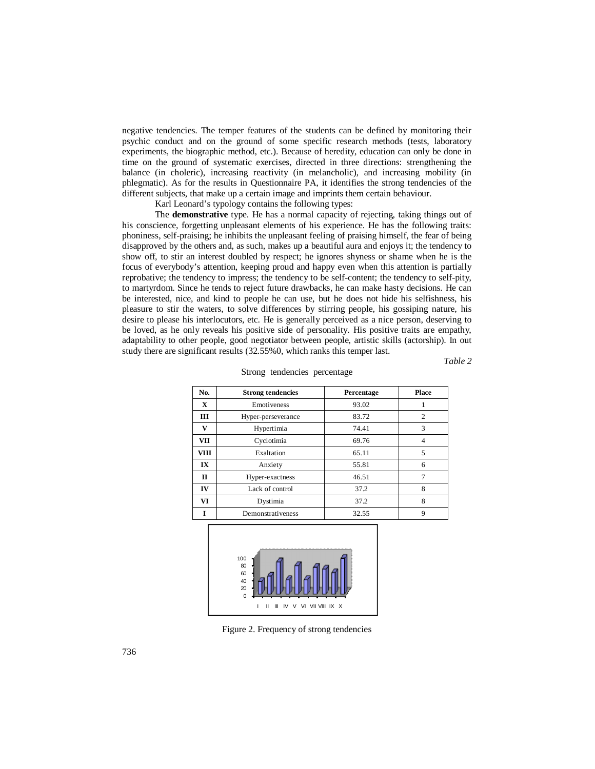negative tendencies. The temper features of the students can be defined by monitoring their psychic conduct and on the ground of some specific research methods (tests, laboratory experiments, the biographic method, etc.). Because of heredity, education can only be done in time on the ground of systematic exercises, directed in three directions: strengthening the balance (in choleric), increasing reactivity (in melancholic), and increasing mobility (in phlegmatic). As for the results in Questionnaire PA, it identifies the strong tendencies of the different subjects, that make up a certain image and imprints them certain behaviour.

Karl Leonard's typology contains the following types:

The **demonstrative** type. He has a normal capacity of rejecting, taking things out of his conscience, forgetting unpleasant elements of his experience. He has the following traits: phoniness, self-praising; he inhibits the unpleasant feeling of praising himself, the fear of being disapproved by the others and, as such, makes up a beautiful aura and enjoys it; the tendency to show off, to stir an interest doubled by respect; he ignores shyness or shame when he is the focus of everybody's attention, keeping proud and happy even when this attention is partially reprobative; the tendency to impress; the tendency to be self-content; the tendency to self-pity, to martyrdom. Since he tends to reject future drawbacks, he can make hasty decisions. He can be interested, nice, and kind to people he can use, but he does not hide his selfishness, his pleasure to stir the waters, to solve differences by stirring people, his gossiping nature, his desire to please his interlocutors, etc. He is generally perceived as a nice person, deserving to be loved, as he only reveals his positive side of personality. His positive traits are empathy, adaptability to other people, good negotiator between people, artistic skills (actorship). In out study there are significant results (32.55%0, which ranks this temper last.

*Table 2*

| No.         | <b>Strong tendencies</b> | Percentage | <b>Place</b> |
|-------------|--------------------------|------------|--------------|
| X           | Emotiveness              | 93.02      |              |
| Ш           | Hyper-perseverance       | 83.72      | 2            |
| v           | Hypertimia               | 74.41      | 3            |
| VII         | Cyclotimia               | 69.76      | 4            |
| <b>VIII</b> | Exaltation               | 65.11      | 5            |
| IX          | Anxiety                  | 55.81      | 6            |
| П           | Hyper-exactness          | 46.51      | 7            |
| IV          | Lack of control          | 37.2       | 8            |
| VI          | Dystimia                 | 37.2       | 8            |
|             | Demonstrativeness        | 32.55      | 9            |
|             |                          |            |              |





Figure 2. Frequency of strong tendencies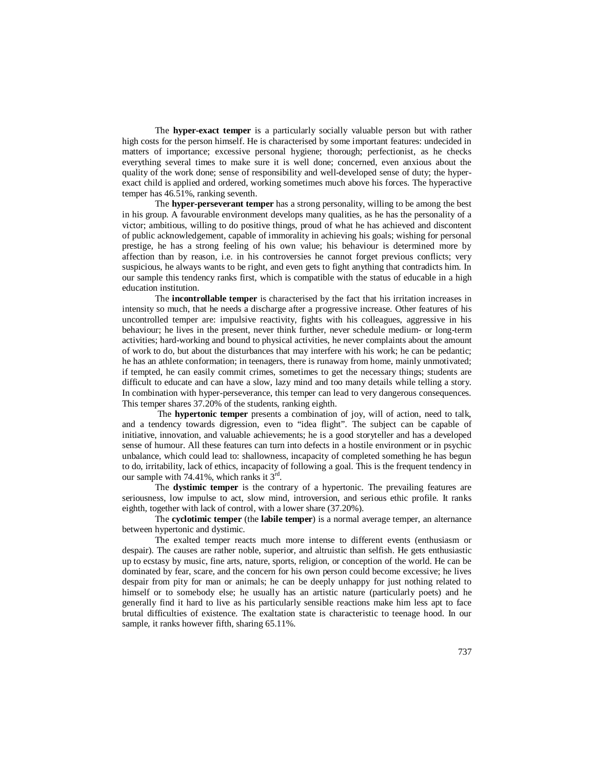The **hyper-exact temper** is a particularly socially valuable person but with rather high costs for the person himself. He is characterised by some important features: undecided in matters of importance; excessive personal hygiene; thorough; perfectionist, as he checks everything several times to make sure it is well done; concerned, even anxious about the quality of the work done; sense of responsibility and well-developed sense of duty; the hyperexact child is applied and ordered, working sometimes much above his forces. The hyperactive temper has 46.51%, ranking seventh.

The **hyper-perseverant temper** has a strong personality, willing to be among the best in his group. A favourable environment develops many qualities, as he has the personality of a victor; ambitious, willing to do positive things, proud of what he has achieved and discontent of public acknowledgement, capable of immorality in achieving his goals; wishing for personal prestige, he has a strong feeling of his own value; his behaviour is determined more by affection than by reason, i.e. in his controversies he cannot forget previous conflicts; very suspicious, he always wants to be right, and even gets to fight anything that contradicts him. In our sample this tendency ranks first, which is compatible with the status of educable in a high education institution.

The **incontrollable temper** is characterised by the fact that his irritation increases in intensity so much, that he needs a discharge after a progressive increase. Other features of his uncontrolled temper are: impulsive reactivity, fights with his colleagues, aggressive in his behaviour; he lives in the present, never think further, never schedule medium- or long-term activities; hard-working and bound to physical activities, he never complaints about the amount of work to do, but about the disturbances that may interfere with his work; he can be pedantic; he has an athlete conformation; in teenagers, there is runaway from home, mainly unmotivated; if tempted, he can easily commit crimes, sometimes to get the necessary things; students are difficult to educate and can have a slow, lazy mind and too many details while telling a story. In combination with hyper-perseverance, this temper can lead to very dangerous consequences. This temper shares 37.20% of the students, ranking eighth.

 The **hypertonic temper** presents a combination of joy, will of action, need to talk, and a tendency towards digression, even to "idea flight". The subject can be capable of initiative, innovation, and valuable achievements; he is a good storyteller and has a developed sense of humour. All these features can turn into defects in a hostile environment or in psychic unbalance, which could lead to: shallowness, incapacity of completed something he has begun to do, irritability, lack of ethics, incapacity of following a goal. This is the frequent tendency in our sample with 74.41%, which ranks it  $3^{rd}$ .

The **dystimic temper** is the contrary of a hypertonic. The prevailing features are seriousness, low impulse to act, slow mind, introversion, and serious ethic profile. It ranks eighth, together with lack of control, with a lower share (37.20%).

The **cyclotimic temper** (the **labile temper**) is a normal average temper, an alternance between hypertonic and dystimic.

The exalted temper reacts much more intense to different events (enthusiasm or despair). The causes are rather noble, superior, and altruistic than selfish. He gets enthusiastic up to ecstasy by music, fine arts, nature, sports, religion, or conception of the world. He can be dominated by fear, scare, and the concern for his own person could become excessive; he lives despair from pity for man or animals; he can be deeply unhappy for just nothing related to himself or to somebody else; he usually has an artistic nature (particularly poets) and he generally find it hard to live as his particularly sensible reactions make him less apt to face brutal difficulties of existence. The exaltation state is characteristic to teenage hood. In our sample, it ranks however fifth, sharing 65.11%.